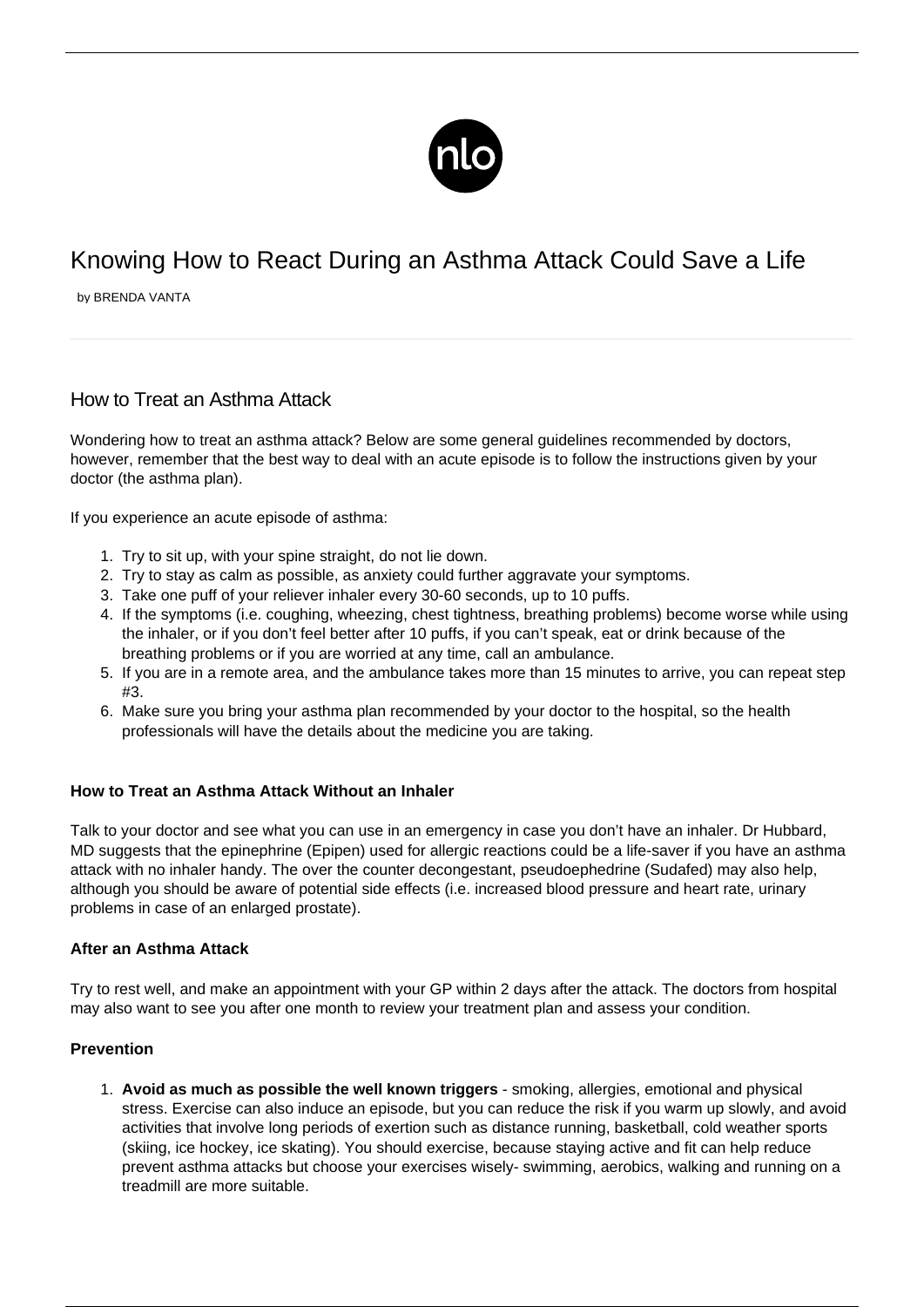

# Knowing How to React During an Asthma Attack Could Save a Life

by BRENDA VANTA

## How to Treat an Asthma Attack

Wondering how to treat an asthma attack? Below are some general guidelines recommended by doctors, however, remember that the best way to deal with an acute episode is to follow the instructions given by your doctor (the asthma plan).

If you experience an acute episode of asthma:

- 1. Try to sit up, with your spine straight, do not lie down.
- 2. Try to stay as calm as possible, as [anxiety could further aggravate your symptoms](/asthma-panic-disorder/).
- 3. Take one puff of your reliever inhaler every 30-60 seconds, up to 10 puffs.
- 4. If the symptoms (i.e. coughing, wheezing, chest tightness, breathing problems) become worse while using the inhaler, or if you don't feel better after 10 puffs, if you can't speak, eat or drink because of the breathing problems or if you are worried at any time, call an ambulance.
- 5. If you are in a remote area, and the ambulance takes more than 15 minutes to arrive, you can repeat step  $#3$
- 6. Make sure you bring your asthma plan recommended by your doctor to the hospital, so the health professionals will have the details about the medicine you are taking.

#### **How to Treat an Asthma Attack Without an Inhaler**

Talk to your doctor and see what you can use in an emergency in case you don't have an inhaler. Dr Hubbard, MD suggests that the epinephrine (Epipen) used for allergic reactions could be a life-saver if you have an [asthma](/asthma-attack-no-inhaler/) [attack with no inhaler](/asthma-attack-no-inhaler/) handy. The over the counter decongestant, pseudoephedrine (Sudafed) may also help, although you should be aware of potential side effects (i.e. increased blood pressure and heart rate, urinary problems in case of an enlarged prostate).

### **After an Asthma Attack**

Try to rest well, and make an appointment with your GP within 2 days after the attack. The doctors from hospital may also want to see you after one month to review your treatment plan and assess your condition.

#### **Prevention**

1. **Avoid as much as possible the well known triggers** - smoking, allergies, emotional and physical stress. Exercise can also induce an episode, but you can reduce the risk if you warm up slowly, and avoid activities that involve long periods of exertion such as distance running, basketball, cold weather sports (skiing, ice hockey, ice skating). You should exercise, because staying active and fit can help reduce prevent asthma attacks but choose your exercises wisely- swimming, aerobics, walking and running on a treadmill are more suitable.